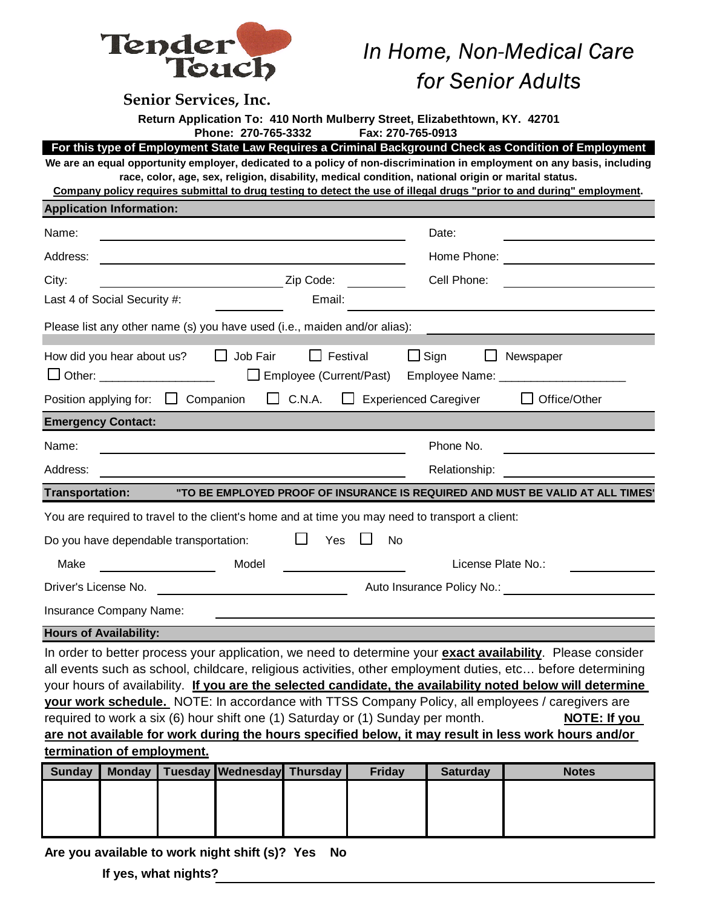

## *In Home, Non-Medical Care*

| louch                                                                                                                                                                                                                            |                              | for Senior Adults  |                                            |  |  |  |  |  |
|----------------------------------------------------------------------------------------------------------------------------------------------------------------------------------------------------------------------------------|------------------------------|--------------------|--------------------------------------------|--|--|--|--|--|
| <b>Senior Services, Inc.</b>                                                                                                                                                                                                     |                              |                    |                                            |  |  |  |  |  |
| Return Application To: 410 North Mulberry Street, Elizabethtown, KY. 42701                                                                                                                                                       |                              |                    |                                            |  |  |  |  |  |
| Phone: 270-765-3332<br>Fax: 270-765-0913                                                                                                                                                                                         |                              |                    |                                            |  |  |  |  |  |
| For this type of Employment State Law Requires a Criminal Background Check as Condition of Employment<br>We are an equal opportunity employer, dedicated to a policy of non-discrimination in employment on any basis, including |                              |                    |                                            |  |  |  |  |  |
| race, color, age, sex, religion, disability, medical condition, national origin or marital status.                                                                                                                               |                              |                    |                                            |  |  |  |  |  |
| Company policy requires submittal to drug testing to detect the use of illegal drugs "prior to and during" employment.<br><b>Application Information:</b>                                                                        |                              |                    |                                            |  |  |  |  |  |
| Name:                                                                                                                                                                                                                            |                              | Date:              |                                            |  |  |  |  |  |
| Address:                                                                                                                                                                                                                         |                              |                    | Home Phone: <u>______________</u> ________ |  |  |  |  |  |
| Zip Code:<br>City:                                                                                                                                                                                                               |                              | Cell Phone:        |                                            |  |  |  |  |  |
| Last 4 of Social Security #:<br>Email:                                                                                                                                                                                           |                              |                    |                                            |  |  |  |  |  |
|                                                                                                                                                                                                                                  |                              |                    |                                            |  |  |  |  |  |
| Please list any other name (s) you have used (i.e., maiden and/or alias):                                                                                                                                                        |                              |                    |                                            |  |  |  |  |  |
| $\Box$ Job Fair<br>$\Box$ Festival<br>How did you hear about us?                                                                                                                                                                 | $\Box$ Sign                  | $\mathsf{L}$       | Newspaper                                  |  |  |  |  |  |
| □ Other: ___________________<br>Employee (Current/Past)                                                                                                                                                                          |                              |                    | Employee Name: ________________________    |  |  |  |  |  |
| $\Box$ C.N.A.<br>Position applying for: $\Box$ Companion                                                                                                                                                                         | $\Box$ Experienced Caregiver |                    | Office/Other                               |  |  |  |  |  |
| <b>Emergency Contact:</b>                                                                                                                                                                                                        |                              |                    |                                            |  |  |  |  |  |
| Name:                                                                                                                                                                                                                            |                              | Phone No.          |                                            |  |  |  |  |  |
| Address:                                                                                                                                                                                                                         | Relationship:                |                    |                                            |  |  |  |  |  |
| <b>Transportation:</b><br>"TO BE EMPLOYED PROOF OF INSURANCE IS REQUIRED AND MUST BE VALID AT ALL TIMES'                                                                                                                         |                              |                    |                                            |  |  |  |  |  |
| You are required to travel to the client's home and at time you may need to transport a client:                                                                                                                                  |                              |                    |                                            |  |  |  |  |  |
| Yes<br>Do you have dependable transportation:                                                                                                                                                                                    | No                           |                    |                                            |  |  |  |  |  |
| Model<br>Make                                                                                                                                                                                                                    |                              | License Plate No.: |                                            |  |  |  |  |  |
| Driver's License No.                                                                                                                                                                                                             | Auto Insurance Policy No.:   |                    |                                            |  |  |  |  |  |
| Insurance Company Name:                                                                                                                                                                                                          |                              |                    |                                            |  |  |  |  |  |
| <b>Hours of Availability:</b>                                                                                                                                                                                                    |                              |                    |                                            |  |  |  |  |  |
| In order to better process your application, we need to determine your exact availability. Please consider                                                                                                                       |                              |                    |                                            |  |  |  |  |  |
| all events such as school, childcare, religious activities, other employment duties, etc before determining                                                                                                                      |                              |                    |                                            |  |  |  |  |  |
| your hours of availability. If you are the selected candidate, the availability noted below will determine                                                                                                                       |                              |                    |                                            |  |  |  |  |  |
| your work schedule. NOTE: In accordance with TTSS Company Policy, all employees / caregivers are<br>required to work a six (6) hour shift one (1) Saturday or (1) Sunday per month.                                              |                              |                    |                                            |  |  |  |  |  |
| NOTE: If you<br>are not available for work during the hours specified below, it may result in less work hours and/or                                                                                                             |                              |                    |                                            |  |  |  |  |  |
| termination of employment.                                                                                                                                                                                                       |                              |                    |                                            |  |  |  |  |  |
| Tuesday Wednesday Thursday<br><b>Sunday</b><br><b>Monday</b>                                                                                                                                                                     | <b>Friday</b>                | <b>Saturday</b>    | <b>Notes</b>                               |  |  |  |  |  |
|                                                                                                                                                                                                                                  |                              |                    |                                            |  |  |  |  |  |
|                                                                                                                                                                                                                                  |                              |                    |                                            |  |  |  |  |  |

**Are you available to work night shift (s)? Yes No**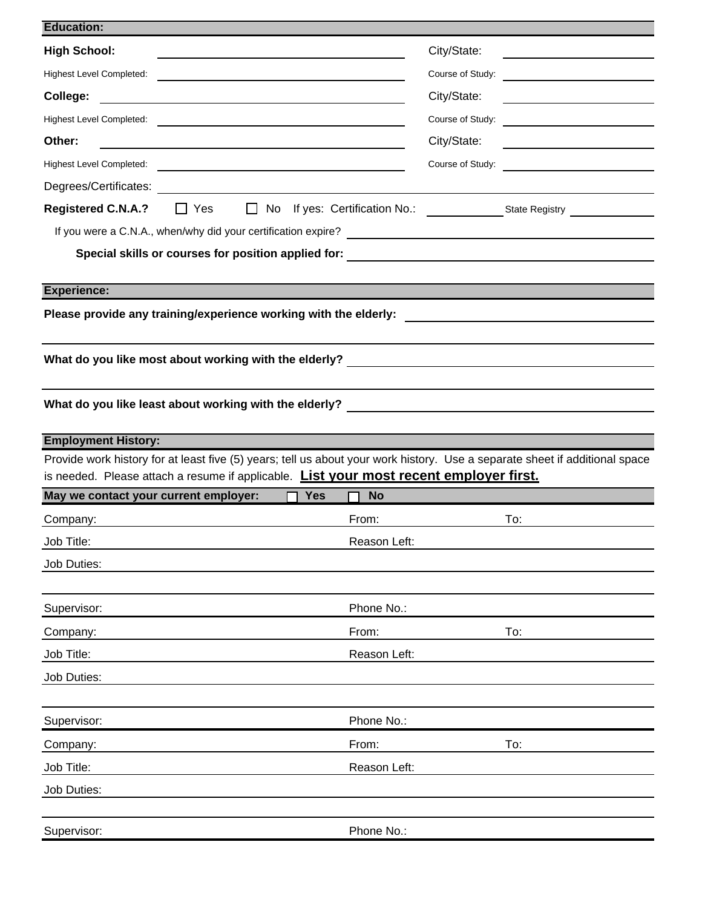| <b>High School:</b>                                                                                                                                                                                                                                                     | City/State:                                                                          |
|-------------------------------------------------------------------------------------------------------------------------------------------------------------------------------------------------------------------------------------------------------------------------|--------------------------------------------------------------------------------------|
| <b>Highest Level Completed:</b><br><u> 1989 - Johann Johann Stone, meil in der Stone in der Stone in der Stone in der Stone in der Stone in der Stone in der Stone in der Stone in der Stone in der Stone in der Stone in der Stone in der Stone in der Stone in de</u> | Course of Study:                                                                     |
| College:                                                                                                                                                                                                                                                                | City/State:<br><u> 1980 - Johann Barnett, fransk politik (</u>                       |
|                                                                                                                                                                                                                                                                         | Course of Study:<br><u> 1989 - Johann Barnett, fransk politik (</u>                  |
| Other:                                                                                                                                                                                                                                                                  | City/State:                                                                          |
|                                                                                                                                                                                                                                                                         | Course of Study:<br><u> 1989 - Johann Stein, mars an t-Amerikaansk kommunister (</u> |
|                                                                                                                                                                                                                                                                         |                                                                                      |
| <b>Registered C.N.A.?</b><br>$\Box$ Yes                                                                                                                                                                                                                                 |                                                                                      |
|                                                                                                                                                                                                                                                                         |                                                                                      |
| Special skills or courses for position applied for: _____________________________                                                                                                                                                                                       |                                                                                      |
|                                                                                                                                                                                                                                                                         |                                                                                      |
| <b>Experience:</b>                                                                                                                                                                                                                                                      |                                                                                      |
| Please provide any training/experience working with the elderly:                                                                                                                                                                                                        | <u> 1980 - John Stein, Amerikaansk politiker (</u>                                   |
| What do you like most about working with the elderly?                                                                                                                                                                                                                   |                                                                                      |
|                                                                                                                                                                                                                                                                         |                                                                                      |
| What do you like least about working with the elderly? _________________________                                                                                                                                                                                        |                                                                                      |
|                                                                                                                                                                                                                                                                         |                                                                                      |
| <b>Employment History:</b><br>Provide work history for at least five (5) years; tell us about your work history. Use a separate sheet if additional space                                                                                                               |                                                                                      |
| is needed. Please attach a resume if applicable. List your most recent employer first.                                                                                                                                                                                  |                                                                                      |
| May we contact your current employer:<br>$\Box$ Yes<br><b>No</b>                                                                                                                                                                                                        |                                                                                      |
| From:<br>Company:                                                                                                                                                                                                                                                       | To:                                                                                  |
| Reason Left:<br>Job Title:                                                                                                                                                                                                                                              |                                                                                      |
|                                                                                                                                                                                                                                                                         |                                                                                      |
| Job Duties:                                                                                                                                                                                                                                                             |                                                                                      |
|                                                                                                                                                                                                                                                                         |                                                                                      |
| Phone No.:<br>Supervisor:                                                                                                                                                                                                                                               |                                                                                      |
| From:<br>Company:                                                                                                                                                                                                                                                       | To:                                                                                  |
| Job Title:<br>Reason Left:                                                                                                                                                                                                                                              |                                                                                      |
| Job Duties:                                                                                                                                                                                                                                                             |                                                                                      |
|                                                                                                                                                                                                                                                                         |                                                                                      |
| Phone No.:<br>Supervisor:                                                                                                                                                                                                                                               |                                                                                      |
| From:<br>Company:                                                                                                                                                                                                                                                       | To:                                                                                  |
| Job Title:<br>Reason Left:                                                                                                                                                                                                                                              |                                                                                      |
| Job Duties:                                                                                                                                                                                                                                                             |                                                                                      |
|                                                                                                                                                                                                                                                                         |                                                                                      |